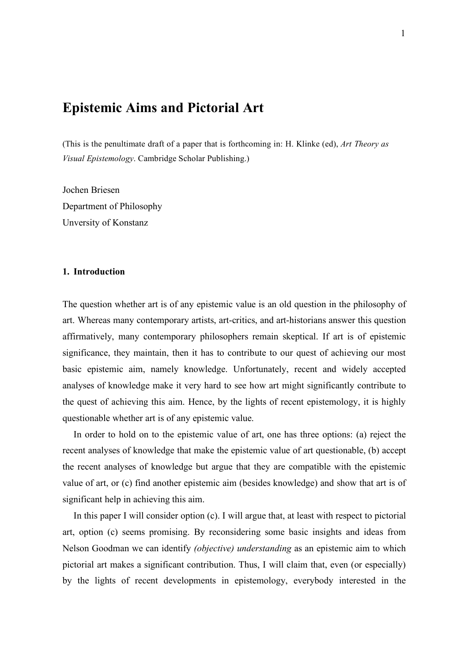# **Epistemic Aims and Pictorial Art**

(This is the penultimate draft of a paper that is forthcoming in: H. Klinke (ed), *Art Theory as Visual Epistemology*. Cambridge Scholar Publishing.)

Jochen Briesen Department of Philosophy Unversity of Konstanz

### **1. Introduction**

The question whether art is of any epistemic value is an old question in the philosophy of art. Whereas many contemporary artists, art-critics, and art-historians answer this question affirmatively, many contemporary philosophers remain skeptical. If art is of epistemic significance, they maintain, then it has to contribute to our quest of achieving our most basic epistemic aim, namely knowledge. Unfortunately, recent and widely accepted analyses of knowledge make it very hard to see how art might significantly contribute to the quest of achieving this aim. Hence, by the lights of recent epistemology, it is highly questionable whether art is of any epistemic value.

In order to hold on to the epistemic value of art, one has three options: (a) reject the recent analyses of knowledge that make the epistemic value of art questionable, (b) accept the recent analyses of knowledge but argue that they are compatible with the epistemic value of art, or (c) find another epistemic aim (besides knowledge) and show that art is of significant help in achieving this aim.

In this paper I will consider option (c). I will argue that, at least with respect to pictorial art, option (c) seems promising. By reconsidering some basic insights and ideas from Nelson Goodman we can identify *(objective) understanding* as an epistemic aim to which pictorial art makes a significant contribution. Thus, I will claim that, even (or especially) by the lights of recent developments in epistemology, everybody interested in the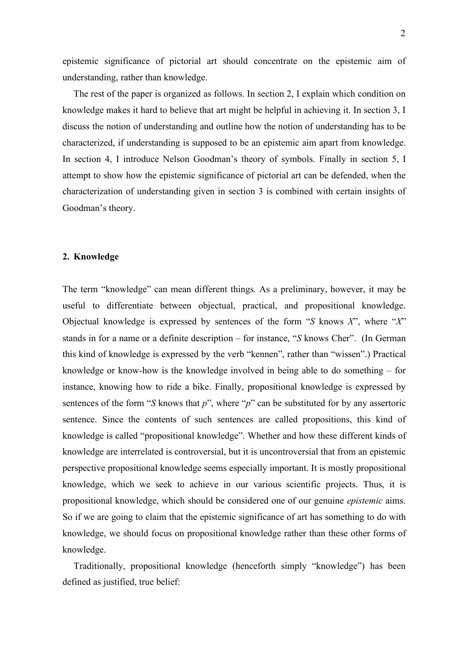epistemic significance of pictorial art should concentrate on the epistemic aim of understanding, rather than knowledge.

The rest of the paper is organized as follows. In section 2, I explain which condition on knowledge makes it hard to believe that art might be helpful in achieving it. In section 3, I discuss the notion of understanding and outline how the notion of understanding has to be characterized, if understanding is supposed to be an epistemic aim apart from knowledge. In section 4, I introduce Nelson Goodman's theory of symbols. Finally in section 5, I attempt to show how the epistemic significance of pictorial art can be defended, when the characterization of understanding given in section 3 is combined with certain insights of Goodman's theory.

#### **2. Knowledge**

The term "knowledge" can mean different things. As a preliminary, however, it may be useful to differentiate between objectual, practical, and propositional knowledge. Objectual knowledge is expressed by sentences of the form "*S* knows *X*", where "*X*" stands in for a name or a definite description – for instance, "*S* knows Cher". (In German this kind of knowledge is expressed by the verb "kennen", rather than "wissen".) Practical knowledge or know-how is the knowledge involved in being able to do something – for instance, knowing how to ride a bike. Finally, propositional knowledge is expressed by sentences of the form "*S* knows that *p*", where "*p*" can be substituted for by any assertoric sentence. Since the contents of such sentences are called propositions, this kind of knowledge is called "propositional knowledge". Whether and how these different kinds of knowledge are interrelated is controversial, but it is uncontroversial that from an epistemic perspective propositional knowledge seems especially important. It is mostly propositional knowledge, which we seek to achieve in our various scientific projects. Thus, it is propositional knowledge, which should be considered one of our genuine *epistemic* aims. So if we are going to claim that the epistemic significance of art has something to do with knowledge, we should focus on propositional knowledge rather than these other forms of knowledge.

Traditionally, propositional knowledge (henceforth simply "knowledge") has been defined as justified, true belief: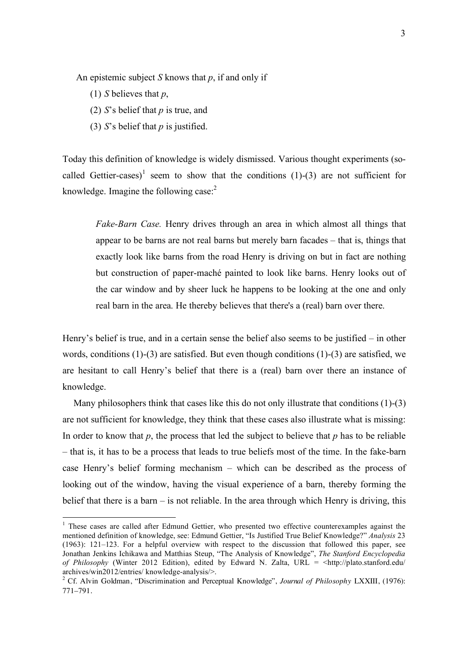An epistemic subject *S* knows that *p*, if and only if

- (1) *S* believes that *p*,
- (2) *S*'s belief that *p* is true, and
- (3) *S*'s belief that *p* is justified.

Today this definition of knowledge is widely dismissed. Various thought experiments (socalled Gettier-cases)<sup>1</sup> seem to show that the conditions (1)-(3) are not sufficient for knowledge. Imagine the following case: $<sup>2</sup>$ </sup>

*Fake-Barn Case.* Henry drives through an area in which almost all things that appear to be barns are not real barns but merely barn facades – that is, things that exactly look like barns from the road Henry is driving on but in fact are nothing but construction of paper-maché painted to look like barns. Henry looks out of the car window and by sheer luck he happens to be looking at the one and only real barn in the area. He thereby believes that there's a (real) barn over there.

Henry's belief is true, and in a certain sense the belief also seems to be justified – in other words, conditions (1)-(3) are satisfied. But even though conditions (1)-(3) are satisfied, we are hesitant to call Henry's belief that there is a (real) barn over there an instance of knowledge.

Many philosophers think that cases like this do not only illustrate that conditions (1)-(3) are not sufficient for knowledge, they think that these cases also illustrate what is missing: In order to know that  $p$ , the process that led the subject to believe that  $p$  has to be reliable – that is, it has to be a process that leads to true beliefs most of the time. In the fake-barn case Henry's belief forming mechanism – which can be described as the process of looking out of the window, having the visual experience of a barn, thereby forming the belief that there is a barn – is not reliable. In the area through which Henry is driving, this

 $\frac{1}{1}$ <sup>1</sup> These cases are called after Edmund Gettier, who presented two effective counterexamples against the mentioned definition of knowledge, see: Edmund Gettier, "Is Justified True Belief Knowledge?" *Analysis* 23 (1963): 121–123. For a helpful overview with respect to the discussion that followed this paper, see Jonathan Jenkins Ichikawa and Matthias Steup, "The Analysis of Knowledge", *The Stanford Encyclopedia of Philosophy* (Winter 2012 Edition), edited by Edward N. Zalta, URL = <http://plato.stanford.edu/ archives/win2012/entries/ knowledge-analysis/>.

<sup>2</sup> Cf. Alvin Goldman, "Discrimination and Perceptual Knowledge", *Journal of Philosophy* LXXIII, (1976): 771–791.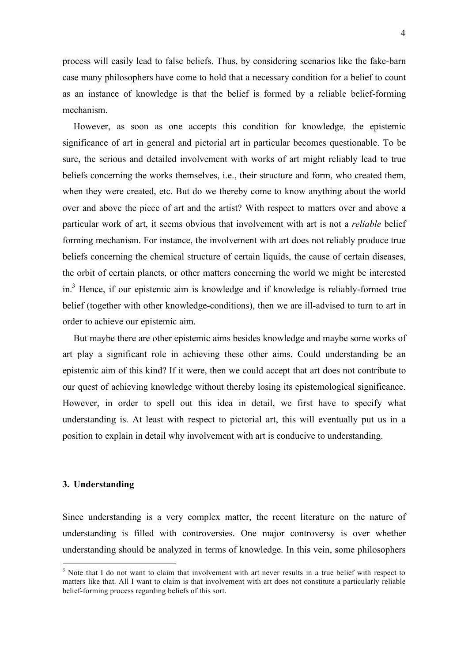process will easily lead to false beliefs. Thus, by considering scenarios like the fake-barn case many philosophers have come to hold that a necessary condition for a belief to count as an instance of knowledge is that the belief is formed by a reliable belief-forming mechanism.

However, as soon as one accepts this condition for knowledge, the epistemic significance of art in general and pictorial art in particular becomes questionable. To be sure, the serious and detailed involvement with works of art might reliably lead to true beliefs concerning the works themselves, i.e., their structure and form, who created them, when they were created, etc. But do we thereby come to know anything about the world over and above the piece of art and the artist? With respect to matters over and above a particular work of art, it seems obvious that involvement with art is not a *reliable* belief forming mechanism. For instance, the involvement with art does not reliably produce true beliefs concerning the chemical structure of certain liquids, the cause of certain diseases, the orbit of certain planets, or other matters concerning the world we might be interested in.<sup>3</sup> Hence, if our epistemic aim is knowledge and if knowledge is reliably-formed true belief (together with other knowledge-conditions), then we are ill-advised to turn to art in order to achieve our epistemic aim.

But maybe there are other epistemic aims besides knowledge and maybe some works of art play a significant role in achieving these other aims. Could understanding be an epistemic aim of this kind? If it were, then we could accept that art does not contribute to our quest of achieving knowledge without thereby losing its epistemological significance. However, in order to spell out this idea in detail, we first have to specify what understanding is. At least with respect to pictorial art, this will eventually put us in a position to explain in detail why involvement with art is conducive to understanding.

#### **3. Understanding**

Since understanding is a very complex matter, the recent literature on the nature of understanding is filled with controversies. One major controversy is over whether understanding should be analyzed in terms of knowledge. In this vein, some philosophers

 <sup>3</sup>  $3$  Note that I do not want to claim that involvement with art never results in a true belief with respect to matters like that. All I want to claim is that involvement with art does not constitute a particularly reliable belief-forming process regarding beliefs of this sort.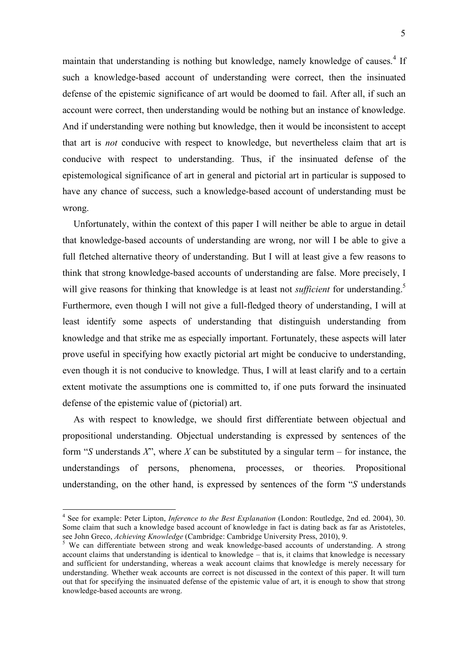maintain that understanding is nothing but knowledge, namely knowledge of causes.<sup>4</sup> If such a knowledge-based account of understanding were correct, then the insinuated defense of the epistemic significance of art would be doomed to fail. After all, if such an account were correct, then understanding would be nothing but an instance of knowledge. And if understanding were nothing but knowledge, then it would be inconsistent to accept that art is *not* conducive with respect to knowledge, but nevertheless claim that art is conducive with respect to understanding. Thus, if the insinuated defense of the epistemological significance of art in general and pictorial art in particular is supposed to have any chance of success, such a knowledge-based account of understanding must be wrong.

Unfortunately, within the context of this paper I will neither be able to argue in detail that knowledge-based accounts of understanding are wrong, nor will I be able to give a full fletched alternative theory of understanding. But I will at least give a few reasons to think that strong knowledge-based accounts of understanding are false. More precisely, I will give reasons for thinking that knowledge is at least not *sufficient* for understanding.<sup>5</sup> Furthermore, even though I will not give a full-fledged theory of understanding, I will at least identify some aspects of understanding that distinguish understanding from knowledge and that strike me as especially important. Fortunately, these aspects will later prove useful in specifying how exactly pictorial art might be conducive to understanding, even though it is not conducive to knowledge. Thus, I will at least clarify and to a certain extent motivate the assumptions one is committed to, if one puts forward the insinuated defense of the epistemic value of (pictorial) art.

As with respect to knowledge, we should first differentiate between objectual and propositional understanding. Objectual understanding is expressed by sentences of the form "*S* understands *X*", where *X* can be substituted by a singular term – for instance, the understandings of persons, phenomena, processes, or theories. Propositional understanding, on the other hand, is expressed by sentences of the form "*S* understands

 $\frac{1}{4}$ <sup>4</sup> See for example: Peter Lipton, *Inference to the Best Explanation* (London: Routledge, 2nd ed. 2004), 30. Some claim that such a knowledge based account of knowledge in fact is dating back as far as Aristoteles, see John Greco, Achieving Knowledge (Cambridge: Cambridge University Press, 2010), 9.

We can differentiate between strong and weak knowledge-based accounts of understanding. A strong account claims that understanding is identical to knowledge – that is, it claims that knowledge is necessary and sufficient for understanding, whereas a weak account claims that knowledge is merely necessary for understanding. Whether weak accounts are correct is not discussed in the context of this paper. It will turn out that for specifying the insinuated defense of the epistemic value of art, it is enough to show that strong knowledge-based accounts are wrong.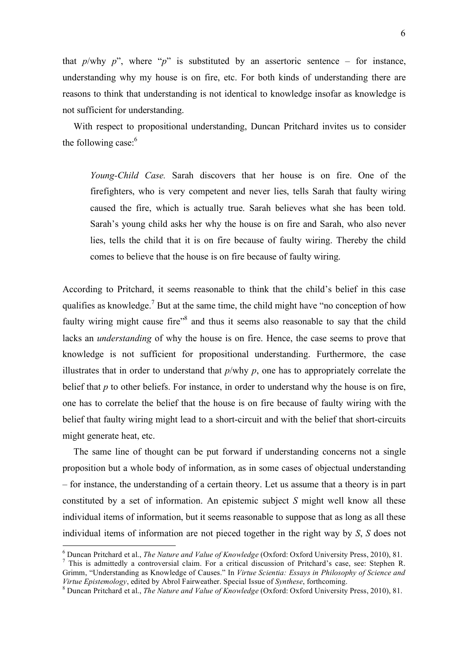that  $p/why \, p$ ", where " $p$ " is substituted by an assertoric sentence – for instance, understanding why my house is on fire, etc. For both kinds of understanding there are reasons to think that understanding is not identical to knowledge insofar as knowledge is not sufficient for understanding.

With respect to propositional understanding, Duncan Pritchard invites us to consider the following case: $6$ 

*Young-Child Case.* Sarah discovers that her house is on fire. One of the firefighters, who is very competent and never lies, tells Sarah that faulty wiring caused the fire, which is actually true. Sarah believes what she has been told. Sarah's young child asks her why the house is on fire and Sarah, who also never lies, tells the child that it is on fire because of faulty wiring. Thereby the child comes to believe that the house is on fire because of faulty wiring.

According to Pritchard, it seems reasonable to think that the child's belief in this case qualifies as knowledge.<sup>7</sup> But at the same time, the child might have "no conception of how faulty wiring might cause fire"<sup>8</sup> and thus it seems also reasonable to say that the child lacks an *understanding* of why the house is on fire. Hence, the case seems to prove that knowledge is not sufficient for propositional understanding. Furthermore, the case illustrates that in order to understand that *p*/why *p*, one has to appropriately correlate the belief that *p* to other beliefs. For instance, in order to understand why the house is on fire, one has to correlate the belief that the house is on fire because of faulty wiring with the belief that faulty wiring might lead to a short-circuit and with the belief that short-circuits might generate heat, etc.

The same line of thought can be put forward if understanding concerns not a single proposition but a whole body of information, as in some cases of objectual understanding – for instance, the understanding of a certain theory. Let us assume that a theory is in part constituted by a set of information. An epistemic subject *S* might well know all these individual items of information, but it seems reasonable to suppose that as long as all these individual items of information are not pieced together in the right way by *S*, *S* does not

 <sup>6</sup> Duncan Pritchard et al., *The Nature and Value of Knowledge* (Oxford: Oxford University Press, 2010), 81. <sup>7</sup>

 $^7$  This is admittedly a controversial claim. For a critical discussion of Pritchard's case, see: Stephen R. Grimm, "Understanding as Knowledge of Causes." In *Virtue Scientia: Essays in Philosophy of Science and Virtue Epistemology*, edited by Abrol Fairweather. Special Issue of *Synthese*, forthcoming. <sup>8</sup>

Duncan Pritchard et al., *The Nature and Value of Knowledge* (Oxford: Oxford University Press, 2010), 81.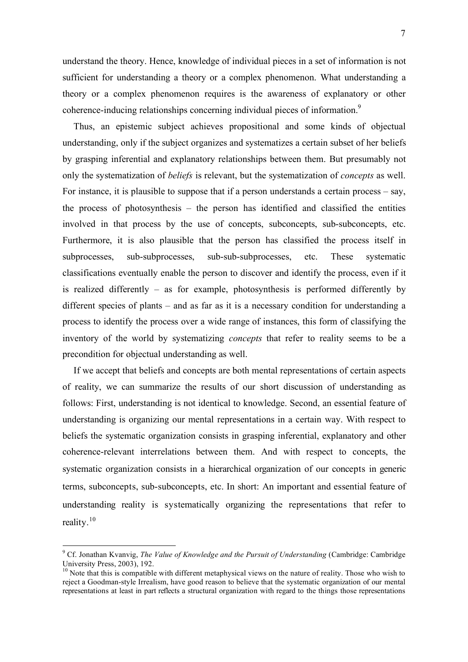understand the theory. Hence, knowledge of individual pieces in a set of information is not sufficient for understanding a theory or a complex phenomenon. What understanding a theory or a complex phenomenon requires is the awareness of explanatory or other coherence-inducing relationships concerning individual pieces of information.<sup>9</sup>

Thus, an epistemic subject achieves propositional and some kinds of objectual understanding, only if the subject organizes and systematizes a certain subset of her beliefs by grasping inferential and explanatory relationships between them. But presumably not only the systematization of *beliefs* is relevant, but the systematization of *concepts* as well. For instance, it is plausible to suppose that if a person understands a certain process – say, the process of photosynthesis – the person has identified and classified the entities involved in that process by the use of concepts, subconcepts, sub-subconcepts, etc. Furthermore, it is also plausible that the person has classified the process itself in subprocesses, sub-subprocesses, sub-sub-subprocesses, etc. These systematic classifications eventually enable the person to discover and identify the process, even if it is realized differently – as for example, photosynthesis is performed differently by different species of plants – and as far as it is a necessary condition for understanding a process to identify the process over a wide range of instances, this form of classifying the inventory of the world by systematizing *concepts* that refer to reality seems to be a precondition for objectual understanding as well.

If we accept that beliefs and concepts are both mental representations of certain aspects of reality, we can summarize the results of our short discussion of understanding as follows: First, understanding is not identical to knowledge. Second, an essential feature of understanding is organizing our mental representations in a certain way. With respect to beliefs the systematic organization consists in grasping inferential, explanatory and other coherence-relevant interrelations between them. And with respect to concepts, the systematic organization consists in a hierarchical organization of our concepts in generic terms, subconcepts, sub-subconcepts, etc. In short: An important and essential feature of understanding reality is systematically organizing the representations that refer to reality.<sup>10</sup>

<sup>&</sup>lt;sup>-</sup>9 <sup>9</sup> Cf. Jonathan Kvanvig, *The Value of Knowledge and the Pursuit of Understanding* (Cambridge: Cambridge) University Press, 2003), 192.

<sup>&</sup>lt;sup>10</sup> Note that this is compatible with different metaphysical views on the nature of reality. Those who wish to reject a Goodman-style Irrealism, have good reason to believe that the systematic organization of our mental representations at least in part reflects a structural organization with regard to the things those representations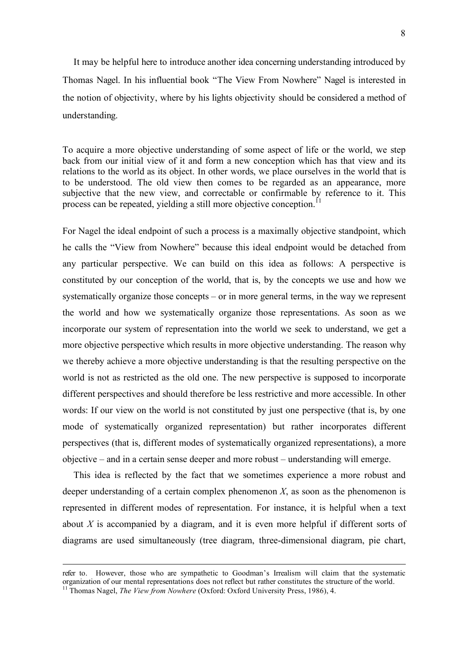It may be helpful here to introduce another idea concerning understanding introduced by Thomas Nagel. In his influential book "The View From Nowhere" Nagel is interested in the notion of objectivity, where by his lights objectivity should be considered a method of understanding.

To acquire a more objective understanding of some aspect of life or the world, we step back from our initial view of it and form a new conception which has that view and its relations to the world as its object. In other words, we place ourselves in the world that is to be understood. The old view then comes to be regarded as an appearance, more subjective that the new view, and correctable or confirmable by reference to it. This process can be repeated, yielding a still more objective conception.<sup>11</sup>

For Nagel the ideal endpoint of such a process is a maximally objective standpoint, which he calls the "View from Nowhere" because this ideal endpoint would be detached from any particular perspective. We can build on this idea as follows: A perspective is constituted by our conception of the world, that is, by the concepts we use and how we systematically organize those concepts – or in more general terms, in the way we represent the world and how we systematically organize those representations. As soon as we incorporate our system of representation into the world we seek to understand, we get a more objective perspective which results in more objective understanding. The reason why we thereby achieve a more objective understanding is that the resulting perspective on the world is not as restricted as the old one. The new perspective is supposed to incorporate different perspectives and should therefore be less restrictive and more accessible. In other words: If our view on the world is not constituted by just one perspective (that is, by one mode of systematically organized representation) but rather incorporates different perspectives (that is, different modes of systematically organized representations), a more objective – and in a certain sense deeper and more robust – understanding will emerge.

This idea is reflected by the fact that we sometimes experience a more robust and deeper understanding of a certain complex phenomenon *X*, as soon as the phenomenon is represented in different modes of representation. For instance, it is helpful when a text about *X* is accompanied by a diagram, and it is even more helpful if different sorts of diagrams are used simultaneously (tree diagram, three-dimensional diagram, pie chart,

refer to. However, those who are sympathetic to Goodman's Irrealism will claim that the systematic organization of our mental representations does not reflect but rather constitutes the structure of the world.

<sup>&</sup>lt;sup>11</sup> Thomas Nagel, *The View from Nowhere* (Oxford: Oxford University Press, 1986), 4.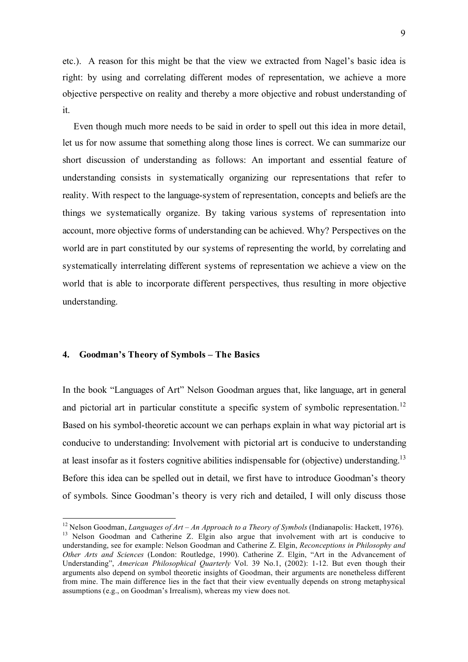etc.). A reason for this might be that the view we extracted from Nagel's basic idea is right: by using and correlating different modes of representation, we achieve a more objective perspective on reality and thereby a more objective and robust understanding of it.

Even though much more needs to be said in order to spell out this idea in more detail, let us for now assume that something along those lines is correct. We can summarize our short discussion of understanding as follows: An important and essential feature of understanding consists in systematically organizing our representations that refer to reality. With respect to the language-system of representation, concepts and beliefs are the things we systematically organize. By taking various systems of representation into account, more objective forms of understanding can be achieved. Why? Perspectives on the world are in part constituted by our systems of representing the world, by correlating and systematically interrelating different systems of representation we achieve a view on the world that is able to incorporate different perspectives, thus resulting in more objective understanding.

### **4. Goodman's Theory of Symbols – The Basics**

In the book "Languages of Art" Nelson Goodman argues that, like language, art in general and pictorial art in particular constitute a specific system of symbolic representation.<sup>12</sup> Based on his symbol-theoretic account we can perhaps explain in what way pictorial art is conducive to understanding: Involvement with pictorial art is conducive to understanding at least insofar as it fosters cognitive abilities indispensable for (objective) understanding.<sup>13</sup> Before this idea can be spelled out in detail, we first have to introduce Goodman's theory of symbols. Since Goodman's theory is very rich and detailed, I will only discuss those

<sup>&</sup>lt;sup>12</sup> Nelson Goodman, *Languages of Art – An Approach to a Theory of Symbols* (Indianapolis: Hackett, 1976).<br><sup>13</sup> Nelson Goodman and Catherine Z. Elgin also argue that involvement with art is conducive to understanding, see for example: Nelson Goodman and Catherine Z. Elgin, *Reconceptions in Philosophy and Other Arts and Sciences* (London: Routledge, 1990). Catherine Z. Elgin, "Art in the Advancement of Understanding", *American Philosophical Quarterly* Vol. 39 No.1, (2002): 1-12. But even though their arguments also depend on symbol theoretic insights of Goodman, their arguments are nonetheless different from mine. The main difference lies in the fact that their view eventually depends on strong metaphysical assumptions (e.g., on Goodman's Irrealism), whereas my view does not.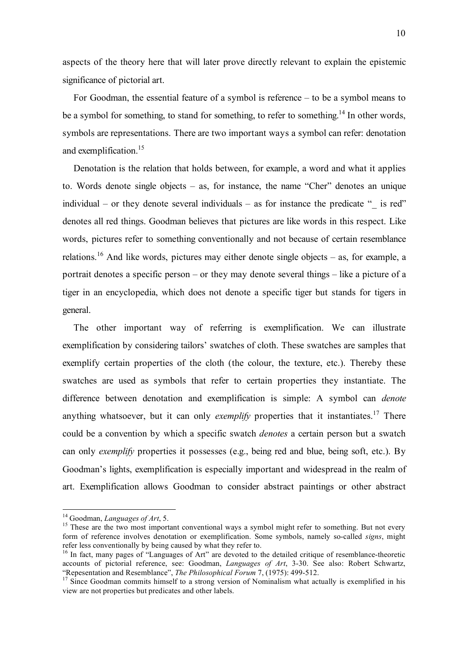aspects of the theory here that will later prove directly relevant to explain the epistemic significance of pictorial art.

For Goodman, the essential feature of a symbol is reference – to be a symbol means to be a symbol for something, to stand for something, to refer to something.<sup>14</sup> In other words, symbols are representations. There are two important ways a symbol can refer: denotation and exemplification.<sup>15</sup>

Denotation is the relation that holds between, for example, a word and what it applies to. Words denote single objects – as, for instance, the name "Cher" denotes an unique individual – or they denote several individuals – as for instance the predicate " $\cdot$  is red" denotes all red things. Goodman believes that pictures are like words in this respect. Like words, pictures refer to something conventionally and not because of certain resemblance relations.<sup>16</sup> And like words, pictures may either denote single objects – as, for example, a portrait denotes a specific person – or they may denote several things – like a picture of a tiger in an encyclopedia, which does not denote a specific tiger but stands for tigers in general.

The other important way of referring is exemplification. We can illustrate exemplification by considering tailors' swatches of cloth. These swatches are samples that exemplify certain properties of the cloth (the colour, the texture, etc.). Thereby these swatches are used as symbols that refer to certain properties they instantiate. The difference between denotation and exemplification is simple: A symbol can *denote* anything whatsoever, but it can only *exemplify* properties that it instantiates.<sup>17</sup> There could be a convention by which a specific swatch *denotes* a certain person but a swatch can only *exemplify* properties it possesses (e.g., being red and blue, being soft, etc.). By Goodman's lights, exemplification is especially important and widespread in the realm of art. Exemplification allows Goodman to consider abstract paintings or other abstract

<sup>&</sup>lt;sup>14</sup> Goodman, *Languages of Art*, 5.<br><sup>15</sup> These are the two most important conventional ways a symbol might refer to something. But not every form of reference involves denotation or exemplification. Some symbols, namely so-called *signs*, might refer less conventionally by being caused by what they refer to.

<sup>&</sup>lt;sup>16</sup> In fact, many pages of "Languages of Art" are devoted to the detailed critique of resemblance-theoretic accounts of pictorial reference, see: Goodman, *Languages of Art*, 3-30. See also: Robert Schwartz, "Repesentation and Resemblance", *The Philosophical Forum* 7, (1975): 499-512.

<sup>&</sup>lt;sup>17</sup> Since Goodman commits himself to a strong version of Nominalism what actually is exemplified in his view are not properties but predicates and other labels.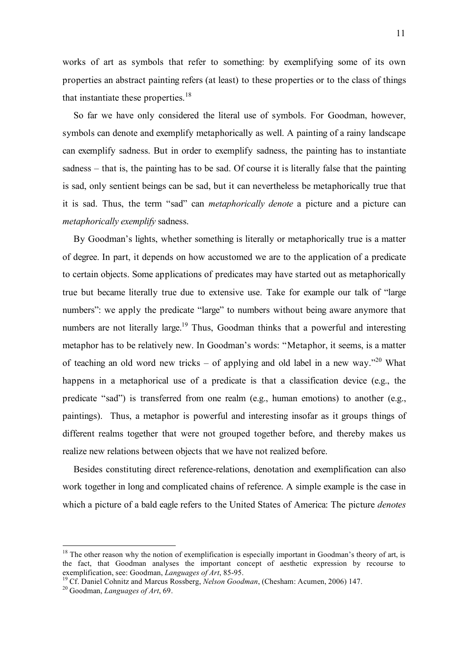works of art as symbols that refer to something: by exemplifying some of its own properties an abstract painting refers (at least) to these properties or to the class of things that instantiate these properties. $18$ 

So far we have only considered the literal use of symbols. For Goodman, however, symbols can denote and exemplify metaphorically as well. A painting of a rainy landscape can exemplify sadness. But in order to exemplify sadness, the painting has to instantiate sadness – that is, the painting has to be sad. Of course it is literally false that the painting is sad, only sentient beings can be sad, but it can nevertheless be metaphorically true that it is sad. Thus, the term "sad" can *metaphorically denote* a picture and a picture can *metaphorically exemplify* sadness.

By Goodman's lights, whether something is literally or metaphorically true is a matter of degree. In part, it depends on how accustomed we are to the application of a predicate to certain objects. Some applications of predicates may have started out as metaphorically true but became literally true due to extensive use. Take for example our talk of "large numbers": we apply the predicate "large" to numbers without being aware anymore that numbers are not literally large.<sup>19</sup> Thus, Goodman thinks that a powerful and interesting metaphor has to be relatively new. In Goodman's words: "Metaphor, it seems, is a matter of teaching an old word new tricks – of applying and old label in a new way."20 What happens in a metaphorical use of a predicate is that a classification device (e.g., the predicate "sad") is transferred from one realm (e.g., human emotions) to another (e.g., paintings). Thus, a metaphor is powerful and interesting insofar as it groups things of different realms together that were not grouped together before, and thereby makes us realize new relations between objects that we have not realized before.

Besides constituting direct reference-relations, denotation and exemplification can also work together in long and complicated chains of reference. A simple example is the case in which a picture of a bald eagle refers to the United States of America: The picture *denotes*

<sup>&</sup>lt;sup>18</sup> The other reason why the notion of exemplification is especially important in Goodman's theory of art, is the fact, that Goodman analyses the important concept of aesthetic expression by recourse to exemplification, see: Goodman, *Languages of Art*, 85-95.<br><sup>19</sup> Cf. Daniel Cohnitz and Marcus Rossberg, *Nelson Goodman*, (Chesham: Acumen, 2006) 147.<br><sup>20</sup> Goodman, *Languages of Art*, 69.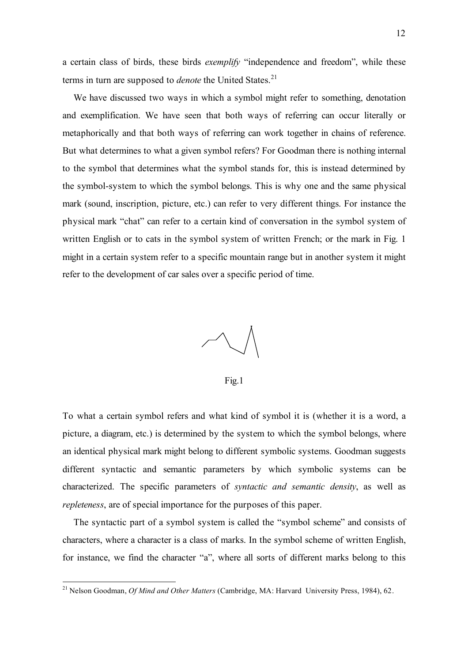a certain class of birds, these birds *exemplify* "independence and freedom", while these terms in turn are supposed to *denote* the United States.<sup>21</sup>

We have discussed two ways in which a symbol might refer to something, denotation and exemplification. We have seen that both ways of referring can occur literally or metaphorically and that both ways of referring can work together in chains of reference. But what determines to what a given symbol refers? For Goodman there is nothing internal to the symbol that determines what the symbol stands for, this is instead determined by the symbol-system to which the symbol belongs. This is why one and the same physical mark (sound, inscription, picture, etc.) can refer to very different things. For instance the physical mark "chat" can refer to a certain kind of conversation in the symbol system of written English or to cats in the symbol system of written French; or the mark in Fig. 1 might in a certain system refer to a specific mountain range but in another system it might refer to the development of car sales over a specific period of time.



Fig.1

To what a certain symbol refers and what kind of symbol it is (whether it is a word, a picture, a diagram, etc.) is determined by the system to which the symbol belongs, where an identical physical mark might belong to different symbolic systems. Goodman suggests different syntactic and semantic parameters by which symbolic systems can be characterized. The specific parameters of *syntactic and semantic density*, as well as *repleteness*, are of special importance for the purposes of this paper.

The syntactic part of a symbol system is called the "symbol scheme" and consists of characters, where a character is a class of marks. In the symbol scheme of written English, for instance, we find the character "a", where all sorts of different marks belong to this

 <sup>21</sup> Nelson Goodman, *Of Mind and Other Matters* (Cambridge, MA: Harvard University Press, 1984), 62.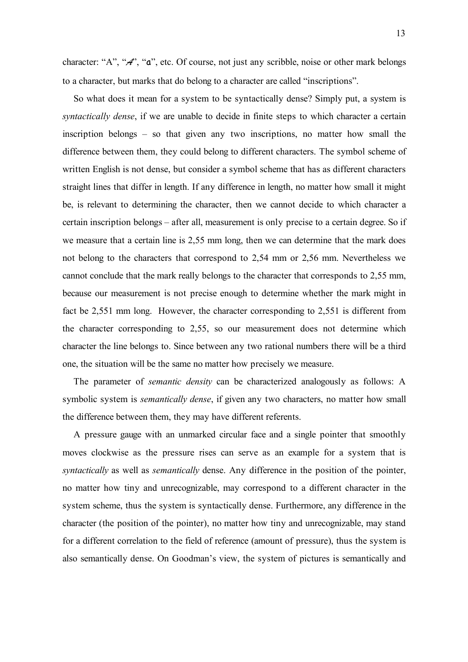character: "A", "A", "a", etc. Of course, not just any scribble, noise or other mark belongs to a character, but marks that do belong to a character are called "inscriptions".

So what does it mean for a system to be syntactically dense? Simply put, a system is *syntactically dense*, if we are unable to decide in finite steps to which character a certain inscription belongs – so that given any two inscriptions, no matter how small the difference between them, they could belong to different characters. The symbol scheme of written English is not dense, but consider a symbol scheme that has as different characters straight lines that differ in length. If any difference in length, no matter how small it might be, is relevant to determining the character, then we cannot decide to which character a certain inscription belongs – after all, measurement is only precise to a certain degree. So if we measure that a certain line is 2,55 mm long, then we can determine that the mark does not belong to the characters that correspond to 2,54 mm or 2,56 mm. Nevertheless we cannot conclude that the mark really belongs to the character that corresponds to 2,55 mm, because our measurement is not precise enough to determine whether the mark might in fact be 2,551 mm long. However, the character corresponding to 2,551 is different from the character corresponding to 2,55, so our measurement does not determine which character the line belongs to. Since between any two rational numbers there will be a third one, the situation will be the same no matter how precisely we measure.

The parameter of *semantic density* can be characterized analogously as follows: A symbolic system is *semantically dense*, if given any two characters, no matter how small the difference between them, they may have different referents.

A pressure gauge with an unmarked circular face and a single pointer that smoothly moves clockwise as the pressure rises can serve as an example for a system that is *syntactically* as well as *semantically* dense. Any difference in the position of the pointer, no matter how tiny and unrecognizable, may correspond to a different character in the system scheme, thus the system is syntactically dense. Furthermore, any difference in the character (the position of the pointer), no matter how tiny and unrecognizable, may stand for a different correlation to the field of reference (amount of pressure), thus the system is also semantically dense. On Goodman's view, the system of pictures is semantically and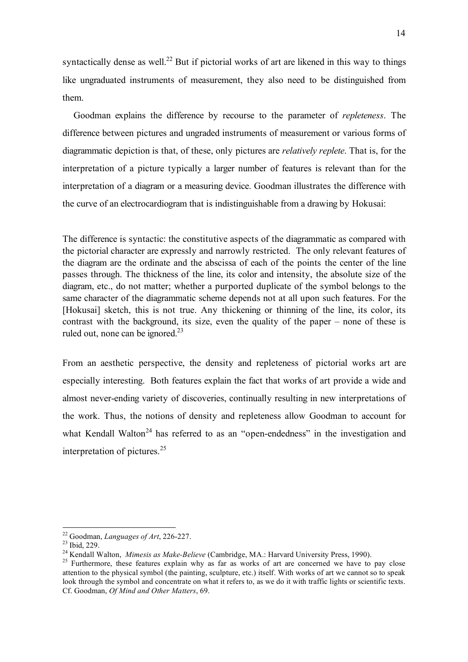syntactically dense as well.<sup>22</sup> But if pictorial works of art are likened in this way to things like ungraduated instruments of measurement, they also need to be distinguished from them.

Goodman explains the difference by recourse to the parameter of *repleteness*. The difference between pictures and ungraded instruments of measurement or various forms of diagrammatic depiction is that, of these, only pictures are *relatively replete*. That is, for the interpretation of a picture typically a larger number of features is relevant than for the interpretation of a diagram or a measuring device. Goodman illustrates the difference with the curve of an electrocardiogram that is indistinguishable from a drawing by Hokusai:

The difference is syntactic: the constitutive aspects of the diagrammatic as compared with the pictorial character are expressly and narrowly restricted. The only relevant features of the diagram are the ordinate and the abscissa of each of the points the center of the line passes through. The thickness of the line, its color and intensity, the absolute size of the diagram, etc., do not matter; whether a purported duplicate of the symbol belongs to the same character of the diagrammatic scheme depends not at all upon such features. For the [Hokusai] sketch, this is not true. Any thickening or thinning of the line, its color, its contrast with the background, its size, even the quality of the paper – none of these is ruled out, none can be ignored. $23$ 

From an aesthetic perspective, the density and repleteness of pictorial works art are especially interesting. Both features explain the fact that works of art provide a wide and almost never-ending variety of discoveries, continually resulting in new interpretations of the work. Thus, the notions of density and repleteness allow Goodman to account for what Kendall Walton<sup>24</sup> has referred to as an "open-endedness" in the investigation and interpretation of pictures.<sup>25</sup>

<sup>&</sup>lt;sup>22</sup> Goodman, *Languages of Art*, 226-227.<br><sup>23</sup> Ibid, 229.<br><sup>24</sup> Kendall Walton. *Mimesis as Make-Believe* (Cambridge, MA.: Harvard University Press, 1990).

<sup>&</sup>lt;sup>25</sup> Furthermore, these features explain why as far as works of art are concerned we have to pay close attention to the physical symbol (the painting, sculpture, etc.) itself. With works of art we cannot so to speak look through the symbol and concentrate on what it refers to, as we do it with traffic lights or scientific texts. Cf. Goodman, *Of Mind and Other Matters*, 69.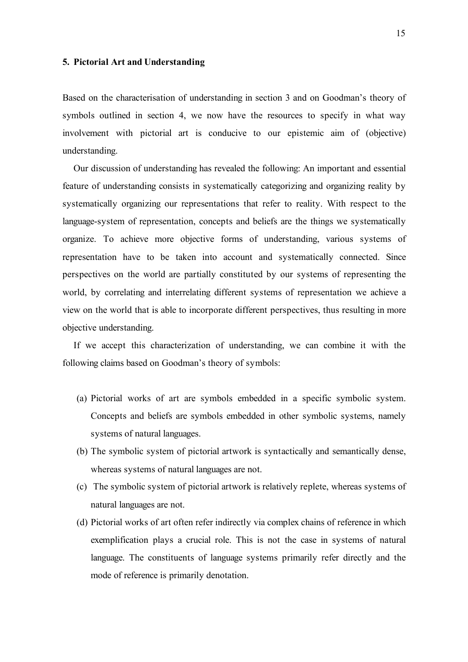#### **5. Pictorial Art and Understanding**

Based on the characterisation of understanding in section 3 and on Goodman's theory of symbols outlined in section 4, we now have the resources to specify in what way involvement with pictorial art is conducive to our epistemic aim of (objective) understanding.

Our discussion of understanding has revealed the following: An important and essential feature of understanding consists in systematically categorizing and organizing reality by systematically organizing our representations that refer to reality. With respect to the language-system of representation, concepts and beliefs are the things we systematically organize. To achieve more objective forms of understanding, various systems of representation have to be taken into account and systematically connected. Since perspectives on the world are partially constituted by our systems of representing the world, by correlating and interrelating different systems of representation we achieve a view on the world that is able to incorporate different perspectives, thus resulting in more objective understanding.

If we accept this characterization of understanding, we can combine it with the following claims based on Goodman's theory of symbols:

- (a) Pictorial works of art are symbols embedded in a specific symbolic system. Concepts and beliefs are symbols embedded in other symbolic systems, namely systems of natural languages.
- (b) The symbolic system of pictorial artwork is syntactically and semantically dense, whereas systems of natural languages are not.
- (c) The symbolic system of pictorial artwork is relatively replete, whereas systems of natural languages are not.
- (d) Pictorial works of art often refer indirectly via complex chains of reference in which exemplification plays a crucial role. This is not the case in systems of natural language. The constituents of language systems primarily refer directly and the mode of reference is primarily denotation.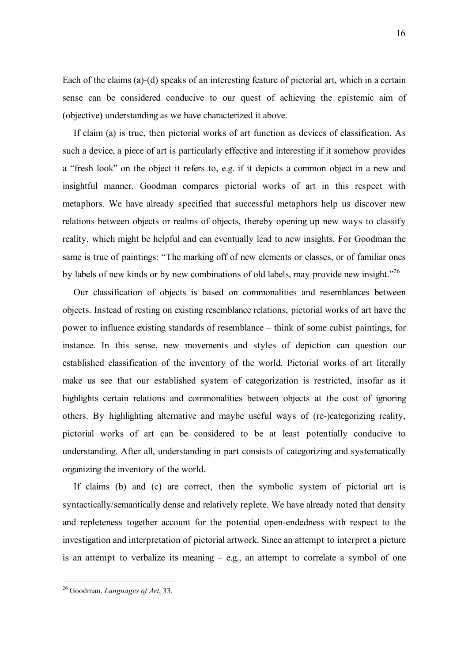Each of the claims (a)-(d) speaks of an interesting feature of pictorial art, which in a certain sense can be considered conducive to our quest of achieving the epistemic aim of (objective) understanding as we have characterized it above.

If claim (a) is true, then pictorial works of art function as devices of classification. As such a device, a piece of art is particularly effective and interesting if it somehow provides a "fresh look" on the object it refers to, e.g. if it depicts a common object in a new and insightful manner. Goodman compares pictorial works of art in this respect with metaphors. We have already specified that successful metaphors help us discover new relations between objects or realms of objects, thereby opening up new ways to classify reality, which might be helpful and can eventually lead to new insights. For Goodman the same is true of paintings: "The marking off of new elements or classes, or of familiar ones by labels of new kinds or by new combinations of old labels, may provide new insight."<sup>26</sup>

Our classification of objects is based on commonalities and resemblances between objects. Instead of resting on existing resemblance relations, pictorial works of art have the power to influence existing standards of resemblance – think of some cubist paintings, for instance. In this sense, new movements and styles of depiction can question our established classification of the inventory of the world. Pictorial works of art literally make us see that our established system of categorization is restricted, insofar as it highlights certain relations and commonalities between objects at the cost of ignoring others. By highlighting alternative and maybe useful ways of (re-)categorizing reality, pictorial works of art can be considered to be at least potentially conducive to understanding. After all, understanding in part consists of categorizing and systematically organizing the inventory of the world.

If claims (b) and (c) are correct, then the symbolic system of pictorial art is syntactically/semantically dense and relatively replete. We have already noted that density and repleteness together account for the potential open-endedness with respect to the investigation and interpretation of pictorial artwork. Since an attempt to interpret a picture is an attempt to verbalize its meaning  $-$  e.g., an attempt to correlate a symbol of one

 <sup>26</sup> Goodman, *Languages of Art*, 33.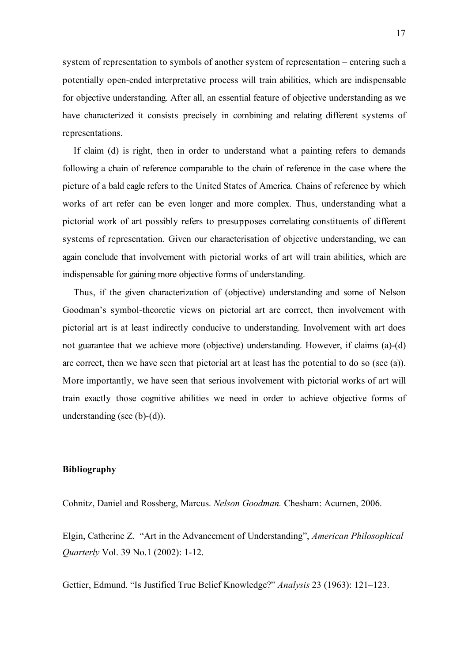system of representation to symbols of another system of representation – entering such a potentially open-ended interpretative process will train abilities, which are indispensable for objective understanding. After all, an essential feature of objective understanding as we have characterized it consists precisely in combining and relating different systems of representations.

If claim (d) is right, then in order to understand what a painting refers to demands following a chain of reference comparable to the chain of reference in the case where the picture of a bald eagle refers to the United States of America. Chains of reference by which works of art refer can be even longer and more complex. Thus, understanding what a pictorial work of art possibly refers to presupposes correlating constituents of different systems of representation. Given our characterisation of objective understanding, we can again conclude that involvement with pictorial works of art will train abilities, which are indispensable for gaining more objective forms of understanding.

Thus, if the given characterization of (objective) understanding and some of Nelson Goodman's symbol-theoretic views on pictorial art are correct, then involvement with pictorial art is at least indirectly conducive to understanding. Involvement with art does not guarantee that we achieve more (objective) understanding. However, if claims (a)-(d) are correct, then we have seen that pictorial art at least has the potential to do so (see (a)). More importantly, we have seen that serious involvement with pictorial works of art will train exactly those cognitive abilities we need in order to achieve objective forms of understanding (see (b)-(d)).

## **Bibliography**

Cohnitz, Daniel and Rossberg, Marcus. *Nelson Goodman.* Chesham: Acumen, 2006.

Elgin, Catherine Z. "Art in the Advancement of Understanding", *American Philosophical Quarterly* Vol. 39 No.1 (2002): 1-12.

Gettier, Edmund. "Is Justified True Belief Knowledge?" *Analysis* 23 (1963): 121–123.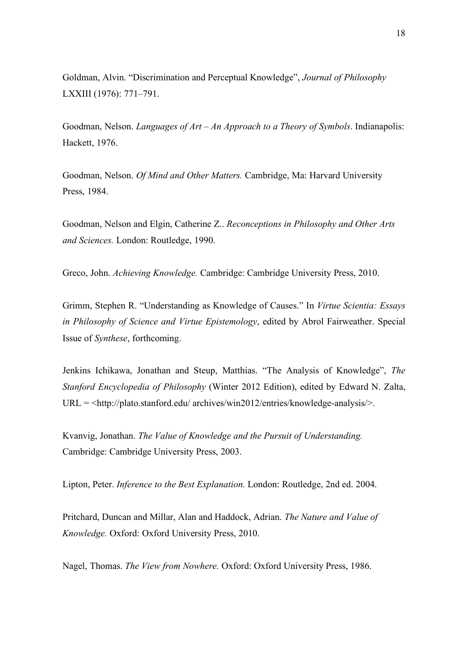Goldman, Alvin. "Discrimination and Perceptual Knowledge", *Journal of Philosophy*  LXXIII (1976): 771–791.

Goodman, Nelson. *Languages of Art – An Approach to a Theory of Symbols*. Indianapolis: Hackett, 1976.

Goodman, Nelson. *Of Mind and Other Matters.* Cambridge, Ma: Harvard University Press, 1984.

Goodman, Nelson and Elgin, Catherine Z.. *Reconceptions in Philosophy and Other Arts and Sciences.* London: Routledge, 1990.

Greco, John. *Achieving Knowledge.* Cambridge: Cambridge University Press, 2010.

Grimm, Stephen R. "Understanding as Knowledge of Causes." In *Virtue Scientia: Essays in Philosophy of Science and Virtue Epistemology*, edited by Abrol Fairweather. Special Issue of *Synthese*, forthcoming.

Jenkins Ichikawa, Jonathan and Steup, Matthias. "The Analysis of Knowledge", *The Stanford Encyclopedia of Philosophy* (Winter 2012 Edition), edited by Edward N. Zalta,  $URL = <$ http://plato.stanford.edu/ archives/win2012/entries/knowledge-analysis/>.

Kvanvig, Jonathan. *The Value of Knowledge and the Pursuit of Understanding.* Cambridge: Cambridge University Press, 2003.

Lipton, Peter. *Inference to the Best Explanation.* London: Routledge, 2nd ed. 2004.

Pritchard, Duncan and Millar, Alan and Haddock, Adrian. *The Nature and Value of Knowledge.* Oxford: Oxford University Press, 2010.

Nagel, Thomas. *The View from Nowhere.* Oxford: Oxford University Press, 1986.